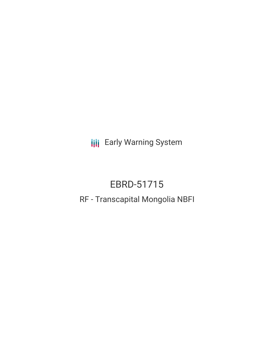**III** Early Warning System

# EBRD-51715

# RF - Transcapital Mongolia NBFI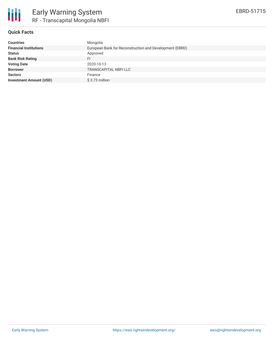

# **Quick Facts**

| <b>Countries</b>               | Mongolia                                                |
|--------------------------------|---------------------------------------------------------|
| <b>Financial Institutions</b>  | European Bank for Reconstruction and Development (EBRD) |
| <b>Status</b>                  | Approved                                                |
| <b>Bank Risk Rating</b>        | FI                                                      |
| <b>Voting Date</b>             | 2020-10-13                                              |
| <b>Borrower</b>                | <b>TRANSCAPITAL NBFI LLC</b>                            |
| <b>Sectors</b>                 | Finance                                                 |
| <b>Investment Amount (USD)</b> | \$3.73 million                                          |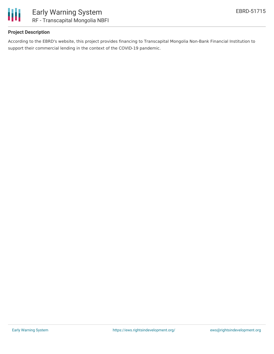

# **Project Description**

According to the EBRD's website, this project provides financing to Transcapital Mongolia Non-Bank Financial Institution to support their commercial lending in the context of the COVID-19 pandemic.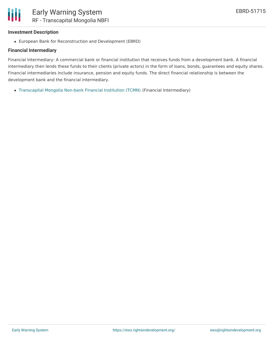

#### **Investment Description**

European Bank for Reconstruction and Development (EBRD)

#### **Financial Intermediary**

Financial Intermediary: A commercial bank or financial institution that receives funds from a development bank. A financial intermediary then lends these funds to their clients (private actors) in the form of loans, bonds, guarantees and equity shares. Financial intermediaries include insurance, pension and equity funds. The direct financial relationship is between the development bank and the financial intermediary.

[Transcapital](file:///actor/3769/) Mongolia Non-bank Financial Institution (TCMN) (Financial Intermediary)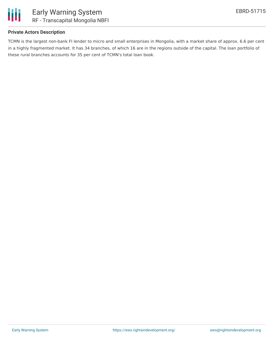

## **Private Actors Description**

TCMN is the largest non-bank FI lender to micro and small enterprises in Mongolia, with a market share of approx. 6.6 per cent in a highly fragmented market. It has 34 branches, of which 16 are in the regions outside of the capital. The loan portfolio of these rural branches accounts for 35 per cent of TCMN's total loan book.